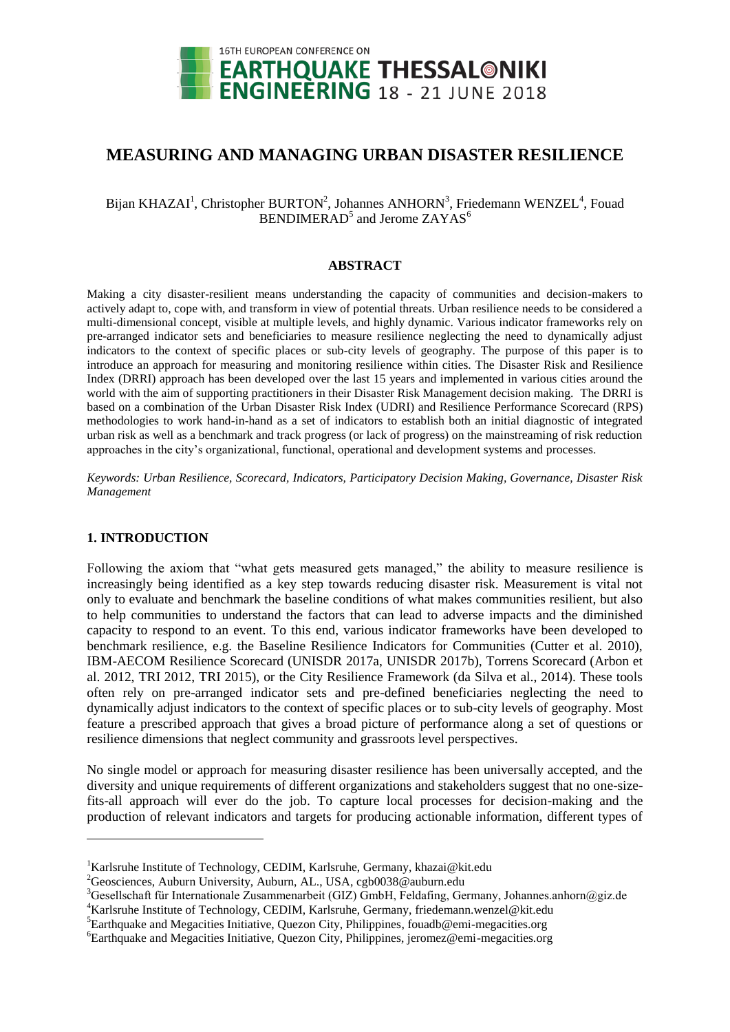

# **MEASURING AND MANAGING URBAN DISASTER RESILIENCE**

# Bijan KHAZAI<sup>1</sup>, Christopher BURTON<sup>2</sup>, Johannes ANHORN<sup>3</sup>, Friedemann WENZEL<sup>4</sup>, Fouad  $BENDIMERAD<sup>5</sup>$  and Jerome  $ZAYAS<sup>6</sup>$

#### **ABSTRACT**

Making a city disaster-resilient means understanding the capacity of communities and decision-makers to actively adapt to, cope with, and transform in view of potential threats. Urban resilience needs to be considered a multi-dimensional concept, visible at multiple levels, and highly dynamic. Various indicator frameworks rely on pre-arranged indicator sets and beneficiaries to measure resilience neglecting the need to dynamically adjust indicators to the context of specific places or sub-city levels of geography. The purpose of this paper is to introduce an approach for measuring and monitoring resilience within cities. The Disaster Risk and Resilience Index (DRRI) approach has been developed over the last 15 years and implemented in various cities around the world with the aim of supporting practitioners in their Disaster Risk Management decision making. The DRRI is based on a combination of the Urban Disaster Risk Index (UDRI) and Resilience Performance Scorecard (RPS) methodologies to work hand-in-hand as a set of indicators to establish both an initial diagnostic of integrated urban risk as well as a benchmark and track progress (or lack of progress) on the mainstreaming of risk reduction approaches in the city"s organizational, functional, operational and development systems and processes.

*Keywords: Urban Resilience, Scorecard, Indicators, Participatory Decision Making, Governance, Disaster Risk Management*

## **1. INTRODUCTION**

 $\overline{a}$ 

Following the axiom that "what gets measured gets managed," the ability to measure resilience is increasingly being identified as a key step towards reducing disaster risk. Measurement is vital not only to evaluate and benchmark the baseline conditions of what makes communities resilient, but also to help communities to understand the factors that can lead to adverse impacts and the diminished capacity to respond to an event. To this end, various indicator frameworks have been developed to benchmark resilience, e.g. the Baseline Resilience Indicators for Communities (Cutter et al. 2010), IBM-AECOM Resilience Scorecard (UNISDR 2017a, UNISDR 2017b), Torrens Scorecard (Arbon et al. 2012, TRI 2012, TRI 2015), or the City Resilience Framework (da Silva et al., 2014). These tools often rely on pre-arranged indicator sets and pre-defined beneficiaries neglecting the need to dynamically adjust indicators to the context of specific places or to sub-city levels of geography. Most feature a prescribed approach that gives a broad picture of performance along a set of questions or resilience dimensions that neglect community and grassroots level perspectives.

No single model or approach for measuring disaster resilience has been universally accepted, and the diversity and unique requirements of different organizations and stakeholders suggest that no one-sizefits-all approach will ever do the job. To capture local processes for decision-making and the production of relevant indicators and targets for producing actionable information, different types of

<sup>&</sup>lt;sup>1</sup>Karlsruhe Institute of Technology, CEDIM, Karlsruhe, Germany, khazai@kit.edu

<sup>&</sup>lt;sup>2</sup>Geosciences, Auburn University, Auburn, AL., USA, cgb0038@auburn.edu

 $3$ Gesellschaft für Internationale Zusammenarbeit (GIZ) GmbH, Feldafing, Germany, Johannes.anhorn@giz.de

<sup>&</sup>lt;sup>4</sup>Karlsruhe Institute of Technology, CEDIM, Karlsruhe, Germany, friedemann.wenzel@kit.edu

 ${}^{5}$ Earthquake and Megacities Initiative, Quezon City, Philippines, fouadb@emi-megacities.org

<sup>6</sup>Earthquake and Megacities Initiative, Quezon City, Philippines, jeromez@emi-megacities.org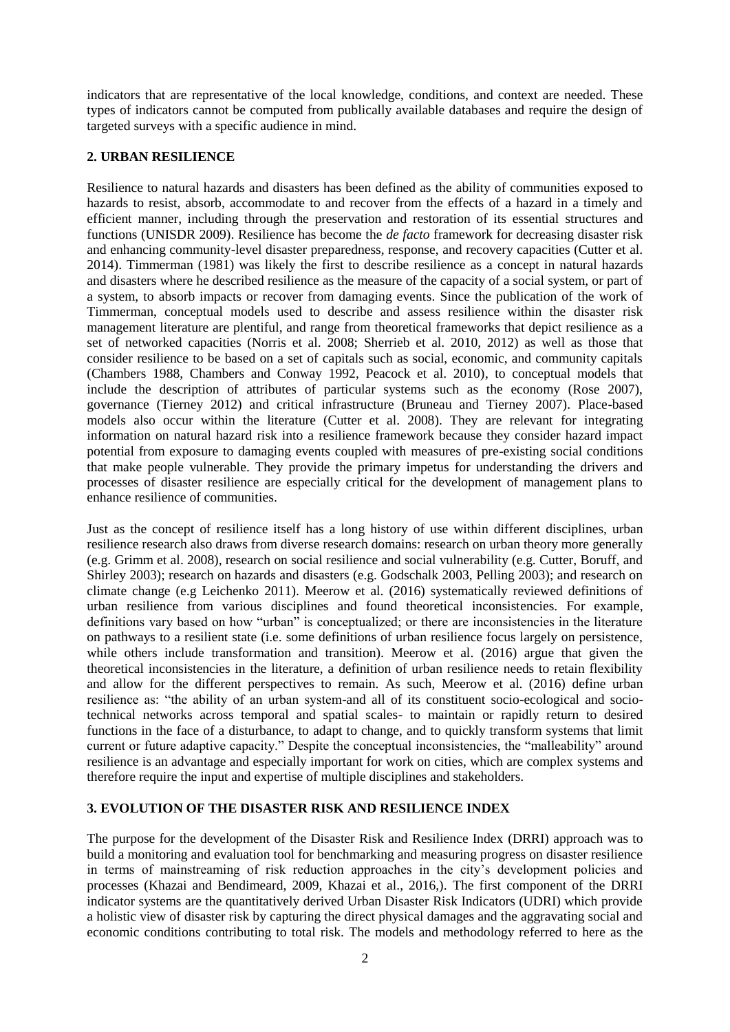indicators that are representative of the local knowledge, conditions, and context are needed. These types of indicators cannot be computed from publically available databases and require the design of targeted surveys with a specific audience in mind.

## **2. URBAN RESILIENCE**

Resilience to natural hazards and disasters has been defined as the ability of communities exposed to hazards to resist, absorb, accommodate to and recover from the effects of a hazard in a timely and efficient manner, including through the preservation and restoration of its essential structures and functions (UNISDR 2009). Resilience has become the *de facto* framework for decreasing disaster risk and enhancing community-level disaster preparedness, response, and recovery capacities (Cutter et al. 2014). Timmerman (1981) was likely the first to describe resilience as a concept in natural hazards and disasters where he described resilience as the measure of the capacity of a social system, or part of a system, to absorb impacts or recover from damaging events. Since the publication of the work of Timmerman, conceptual models used to describe and assess resilience within the disaster risk management literature are plentiful, and range from theoretical frameworks that depict resilience as a set of networked capacities (Norris et al. 2008; Sherrieb et al. 2010, 2012) as well as those that consider resilience to be based on a set of capitals such as social, economic, and community capitals (Chambers 1988, Chambers and Conway 1992, Peacock et al. 2010), to conceptual models that include the description of attributes of particular systems such as the economy (Rose 2007), governance (Tierney 2012) and critical infrastructure (Bruneau and Tierney 2007). Place-based models also occur within the literature (Cutter et al. 2008). They are relevant for integrating information on natural hazard risk into a resilience framework because they consider hazard impact potential from exposure to damaging events coupled with measures of pre-existing social conditions that make people vulnerable. They provide the primary impetus for understanding the drivers and processes of disaster resilience are especially critical for the development of management plans to enhance resilience of communities.

Just as the concept of resilience itself has a long history of use within different disciplines, urban resilience research also draws from diverse research domains: research on urban theory more generally (e.g. Grimm et al. 2008), research on social resilience and social vulnerability (e.g. Cutter, Boruff, and Shirley 2003); research on hazards and disasters (e.g. Godschalk 2003, Pelling 2003); and research on climate change (e.g Leichenko 2011). Meerow et al. (2016) systematically reviewed definitions of urban resilience from various disciplines and found theoretical inconsistencies. For example, definitions vary based on how "urban" is conceptualized; or there are inconsistencies in the literature on pathways to a resilient state (i.e. some definitions of urban resilience focus largely on persistence, while others include transformation and transition). Meerow et al. (2016) argue that given the theoretical inconsistencies in the literature, a definition of urban resilience needs to retain flexibility and allow for the different perspectives to remain. As such, Meerow et al. (2016) define urban resilience as: "the ability of an urban system-and all of its constituent socio-ecological and sociotechnical networks across temporal and spatial scales- to maintain or rapidly return to desired functions in the face of a disturbance, to adapt to change, and to quickly transform systems that limit current or future adaptive capacity." Despite the conceptual inconsistencies, the "malleability" around resilience is an advantage and especially important for work on cities, which are complex systems and therefore require the input and expertise of multiple disciplines and stakeholders.

# **3. EVOLUTION OF THE DISASTER RISK AND RESILIENCE INDEX**

The purpose for the development of the Disaster Risk and Resilience Index (DRRI) approach was to build a monitoring and evaluation tool for benchmarking and measuring progress on disaster resilience in terms of mainstreaming of risk reduction approaches in the city"s development policies and processes (Khazai and Bendimeard, 2009, Khazai et al., 2016,). The first component of the DRRI indicator systems are the quantitatively derived Urban Disaster Risk Indicators (UDRI) which provide a holistic view of disaster risk by capturing the direct physical damages and the aggravating social and economic conditions contributing to total risk. The models and methodology referred to here as the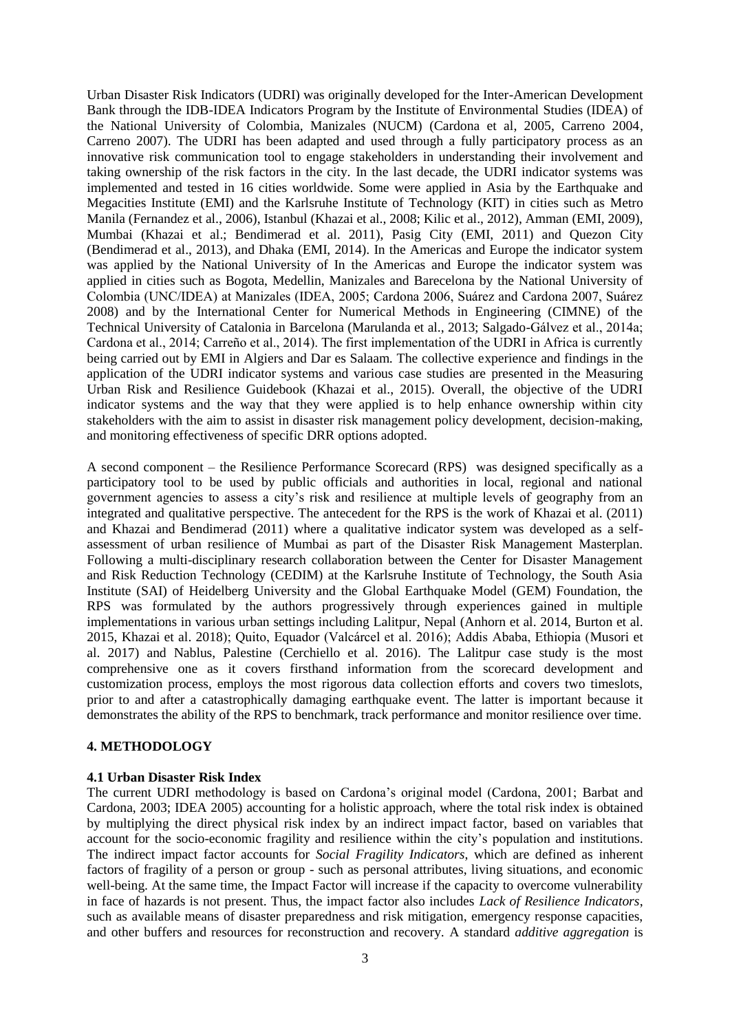Urban Disaster Risk Indicators (UDRI) was originally developed for the Inter-American Development Bank through the IDB-IDEA Indicators Program by the Institute of Environmental Studies (IDEA) of the National University of Colombia, Manizales (NUCM) (Cardona et al, 2005, Carreno 2004, Carreno 2007). The UDRI has been adapted and used through a fully participatory process as an innovative risk communication tool to engage stakeholders in understanding their involvement and taking ownership of the risk factors in the city. In the last decade, the UDRI indicator systems was implemented and tested in 16 cities worldwide. Some were applied in Asia by the Earthquake and Megacities Institute (EMI) and the Karlsruhe Institute of Technology (KIT) in cities such as Metro Manila (Fernandez et al., 2006), Istanbul (Khazai et al., 2008; Kilic et al., 2012), Amman (EMI, 2009), Mumbai (Khazai et al.; Bendimerad et al. 2011), Pasig City (EMI, 2011) and Quezon City (Bendimerad et al., 2013), and Dhaka (EMI, 2014). In the Americas and Europe the indicator system was applied by the National University of In the Americas and Europe the indicator system was applied in cities such as Bogota, Medellin, Manizales and Barecelona by the National University of Colombia (UNC/IDEA) at Manizales (IDEA, 2005; Cardona 2006, Suárez and Cardona 2007, Suárez 2008) and by the International Center for Numerical Methods in Engineering (CIMNE) of the Technical University of Catalonia in Barcelona (Marulanda et al., 2013; Salgado-Gálvez et al., 2014a; Cardona et al., 2014; Carreño et al., 2014). The first implementation of the UDRI in Africa is currently being carried out by EMI in Algiers and Dar es Salaam. The collective experience and findings in the application of the UDRI indicator systems and various case studies are presented in the Measuring Urban Risk and Resilience Guidebook (Khazai et al., 2015). Overall, the objective of the UDRI indicator systems and the way that they were applied is to help enhance ownership within city stakeholders with the aim to assist in disaster risk management policy development, decision-making, and monitoring effectiveness of specific DRR options adopted.

A second component – the Resilience Performance Scorecard (RPS) was designed specifically as a participatory tool to be used by public officials and authorities in local, regional and national government agencies to assess a city"s risk and resilience at multiple levels of geography from an integrated and qualitative perspective. The antecedent for the RPS is the work of Khazai et al. (2011) and Khazai and Bendimerad (2011) where a qualitative indicator system was developed as a selfassessment of urban resilience of Mumbai as part of the Disaster Risk Management Masterplan. Following a multi-disciplinary research collaboration between the Center for Disaster Management and Risk Reduction Technology (CEDIM) at the Karlsruhe Institute of Technology, the South Asia Institute (SAI) of Heidelberg University and the Global Earthquake Model (GEM) Foundation, the RPS was formulated by the authors progressively through experiences gained in multiple implementations in various urban settings including Lalitpur, Nepal (Anhorn et al. 2014, Burton et al. 2015, Khazai et al. 2018); Quito, Equador (Valcárcel et al. 2016); Addis Ababa, Ethiopia (Musori et al. 2017) and Nablus, Palestine (Cerchiello et al. 2016). The Lalitpur case study is the most comprehensive one as it covers firsthand information from the scorecard development and customization process, employs the most rigorous data collection efforts and covers two timeslots, prior to and after a catastrophically damaging earthquake event. The latter is important because it demonstrates the ability of the RPS to benchmark, track performance and monitor resilience over time.

#### **4. METHODOLOGY**

## **4.1 Urban Disaster Risk Index**

The current UDRI methodology is based on Cardona"s original model (Cardona, 2001; Barbat and Cardona, 2003; IDEA 2005) accounting for a holistic approach, where the total risk index is obtained by multiplying the direct physical risk index by an indirect impact factor, based on variables that account for the socio-economic fragility and resilience within the city"s population and institutions. The indirect impact factor accounts for *Social Fragility Indicators*, which are defined as inherent factors of fragility of a person or group - such as personal attributes, living situations, and economic well-being. At the same time, the Impact Factor will increase if the capacity to overcome vulnerability in face of hazards is not present. Thus, the impact factor also includes *Lack of Resilience Indicators*, such as available means of disaster preparedness and risk mitigation, emergency response capacities, and other buffers and resources for reconstruction and recovery. A standard *additive aggregation* is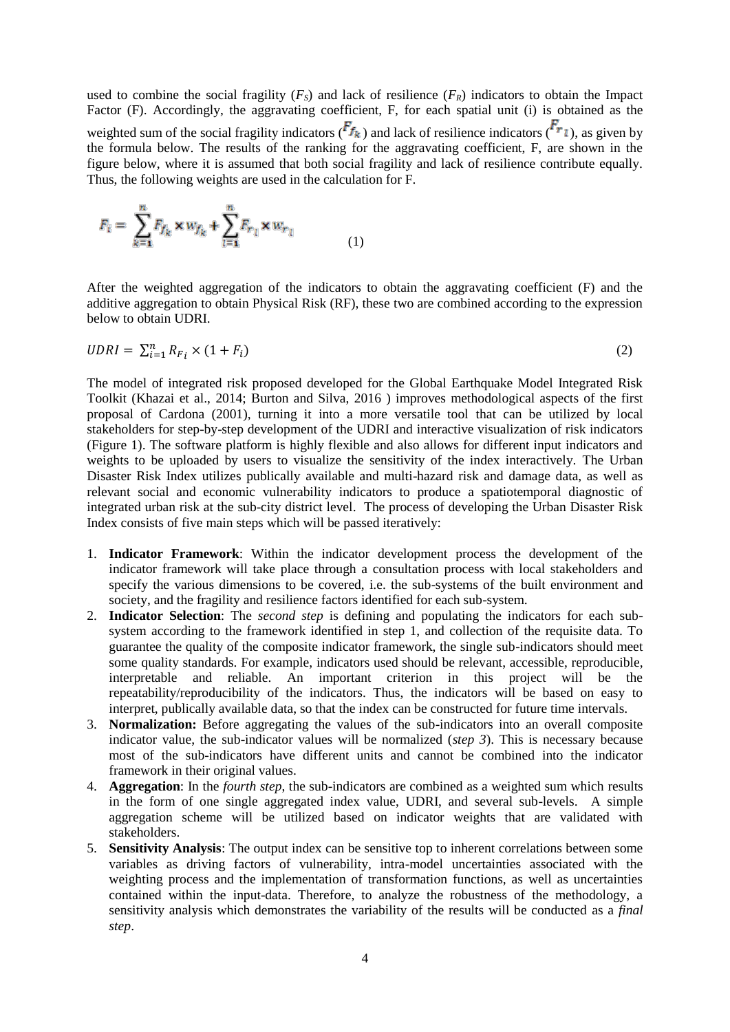used to combine the social fragility  $(F_s)$  and lack of resilience  $(F_R)$  indicators to obtain the Impact Factor (F). Accordingly, the aggravating coefficient, F, for each spatial unit (i) is obtained as the weighted sum of the social fragility indicators  $(F_{f_k})$  and lack of resilience indicators  $(F_{r_l})$ , as given by the formula below. The results of the ranking for the aggravating coefficient, F, are shown in the figure below, where it is assumed that both social fragility and lack of resilience contribute equally. Thus, the following weights are used in the calculation for F.

$$
F_i = \sum_{k=1}^{n} F_{f_k} \times w_{f_k} + \sum_{l=1}^{n} F_{r_l} \times w_{r_l}
$$
 (1)

After the weighted aggregation of the indicators to obtain the aggravating coefficient (F) and the additive aggregation to obtain Physical Risk (RF), these two are combined according to the expression below to obtain UDRI.

$$
UDRI = \sum_{i=1}^{n} R_{F_i} \times (1 + F_i) \tag{2}
$$

The model of integrated risk proposed developed for the Global Earthquake Model Integrated Risk Toolkit (Khazai et al., 2014; Burton and Silva, 2016 ) improves methodological aspects of the first proposal of Cardona (2001), turning it into a more versatile tool that can be utilized by local stakeholders for step-by-step development of the UDRI and interactive visualization of risk indicators (Figure 1). The software platform is highly flexible and also allows for different input indicators and weights to be uploaded by users to visualize the sensitivity of the index interactively. The Urban Disaster Risk Index utilizes publically available and multi-hazard risk and damage data, as well as relevant social and economic vulnerability indicators to produce a spatiotemporal diagnostic of integrated urban risk at the sub-city district level. The process of developing the Urban Disaster Risk Index consists of five main steps which will be passed iteratively:

- 1. **Indicator Framework**: Within the indicator development process the development of the indicator framework will take place through a consultation process with local stakeholders and specify the various dimensions to be covered, i.e. the sub-systems of the built environment and society, and the fragility and resilience factors identified for each sub-system.
- 2. **Indicator Selection**: The *second step* is defining and populating the indicators for each subsystem according to the framework identified in step 1, and collection of the requisite data. To guarantee the quality of the composite indicator framework, the single sub-indicators should meet some quality standards. For example, indicators used should be relevant, accessible, reproducible, interpretable and reliable. An important criterion in this project will be the repeatability/reproducibility of the indicators. Thus, the indicators will be based on easy to interpret, publically available data, so that the index can be constructed for future time intervals.
- 3. **Normalization:** Before aggregating the values of the sub-indicators into an overall composite indicator value, the sub-indicator values will be normalized (*step 3*). This is necessary because most of the sub-indicators have different units and cannot be combined into the indicator framework in their original values.
- 4. **Aggregation**: In the *fourth step*, the sub-indicators are combined as a weighted sum which results in the form of one single aggregated index value, UDRI, and several sub-levels. A simple aggregation scheme will be utilized based on indicator weights that are validated with stakeholders.
- 5. **Sensitivity Analysis**: The output index can be sensitive top to inherent correlations between some variables as driving factors of vulnerability, intra-model uncertainties associated with the weighting process and the implementation of transformation functions, as well as uncertainties contained within the input-data. Therefore, to analyze the robustness of the methodology, a sensitivity analysis which demonstrates the variability of the results will be conducted as a *final step*.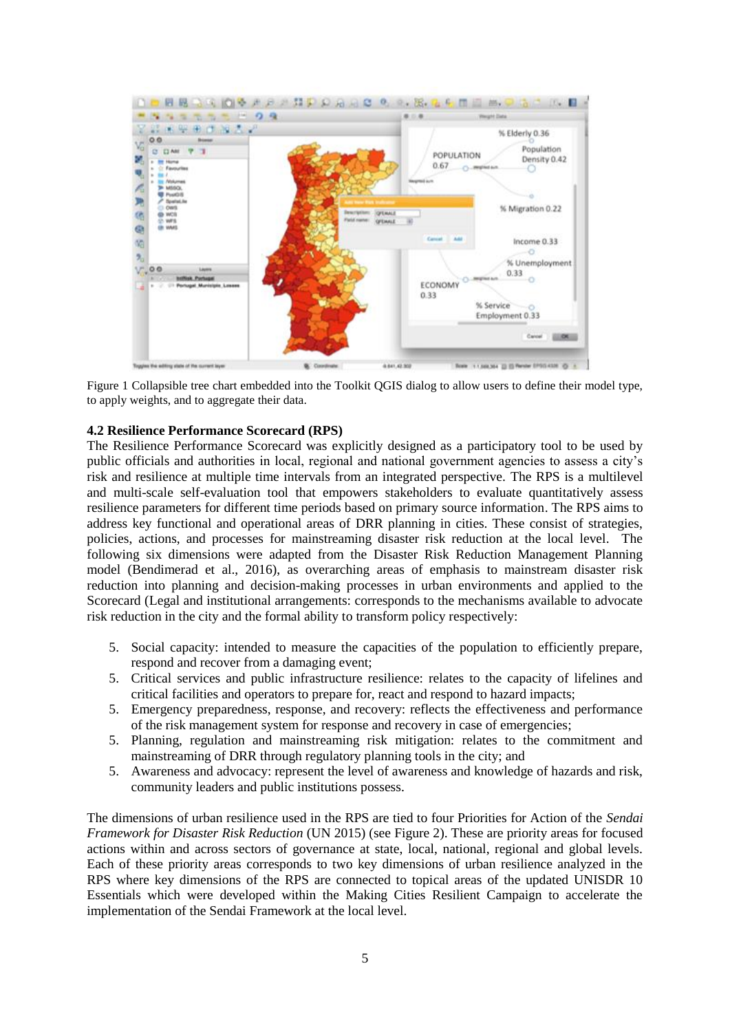

Figure 1 Collapsible tree chart embedded into the Toolkit QGIS dialog to allow users to define their model type, to apply weights, and to aggregate their data.

#### **4.2 Resilience Performance Scorecard (RPS)**

The Resilience Performance Scorecard was explicitly designed as a participatory tool to be used by public officials and authorities in local, regional and national government agencies to assess a city"s risk and resilience at multiple time intervals from an integrated perspective. The RPS is a multilevel and multi-scale self-evaluation tool that empowers stakeholders to evaluate quantitatively assess resilience parameters for different time periods based on primary source information. The RPS aims to address key functional and operational areas of DRR planning in cities. These consist of strategies, policies, actions, and processes for mainstreaming disaster risk reduction at the local level. The following six dimensions were adapted from the Disaster Risk Reduction Management Planning model (Bendimerad et al., 2016), as overarching areas of emphasis to mainstream disaster risk reduction into planning and decision-making processes in urban environments and applied to the Scorecard (Legal and institutional arrangements: corresponds to the mechanisms available to advocate risk reduction in the city and the formal ability to transform policy respectively:

- 5. Social capacity: intended to measure the capacities of the population to efficiently prepare, respond and recover from a damaging event;
- 5. Critical services and public infrastructure resilience: relates to the capacity of lifelines and critical facilities and operators to prepare for, react and respond to hazard impacts;
- 5. Emergency preparedness, response, and recovery: reflects the effectiveness and performance of the risk management system for response and recovery in case of emergencies;
- 5. Planning, regulation and mainstreaming risk mitigation: relates to the commitment and mainstreaming of DRR through regulatory planning tools in the city; and
- 5. Awareness and advocacy: represent the level of awareness and knowledge of hazards and risk, community leaders and public institutions possess.

The dimensions of urban resilience used in the RPS are tied to four Priorities for Action of the *Sendai Framework for Disaster Risk Reduction* (UN 2015) (see Figure 2). These are priority areas for focused actions within and across sectors of governance at state, local, national, regional and global levels. Each of these priority areas corresponds to two key dimensions of urban resilience analyzed in the RPS where key dimensions of the RPS are connected to topical areas of the updated UNISDR 10 Essentials which were developed within the Making Cities Resilient Campaign to accelerate the implementation of the Sendai Framework at the local level.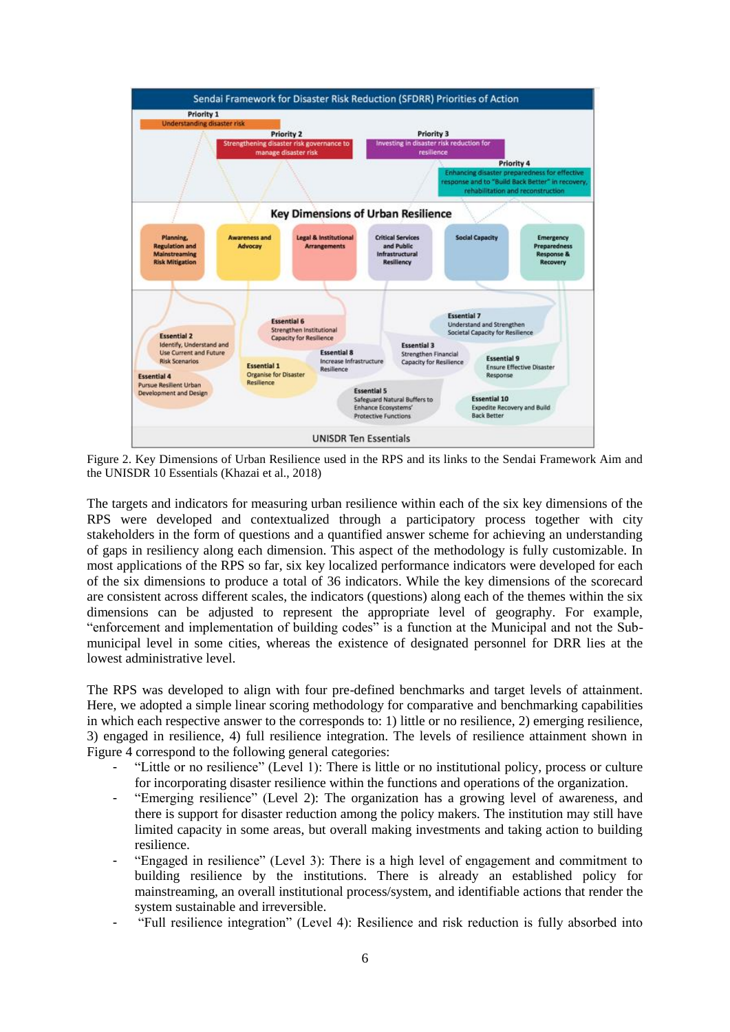

Figure 2. Key Dimensions of Urban Resilience used in the RPS and its links to the Sendai Framework Aim and the UNISDR 10 Essentials (Khazai et al., 2018)

The targets and indicators for measuring urban resilience within each of the six key dimensions of the RPS were developed and contextualized through a participatory process together with city stakeholders in the form of questions and a quantified answer scheme for achieving an understanding of gaps in resiliency along each dimension. This aspect of the methodology is fully customizable. In most applications of the RPS so far, six key localized performance indicators were developed for each of the six dimensions to produce a total of 36 indicators. While the key dimensions of the scorecard are consistent across different scales, the indicators (questions) along each of the themes within the six dimensions can be adjusted to represent the appropriate level of geography. For example, "enforcement and implementation of building codes" is a function at the Municipal and not the Submunicipal level in some cities, whereas the existence of designated personnel for DRR lies at the lowest administrative level.

The RPS was developed to align with four pre-defined benchmarks and target levels of attainment. Here, we adopted a simple linear scoring methodology for comparative and benchmarking capabilities in which each respective answer to the corresponds to: 1) little or no resilience, 2) emerging resilience, 3) engaged in resilience, 4) full resilience integration. The levels of resilience attainment shown in Figure 4 correspond to the following general categories:

- "Little or no resilience" (Level 1): There is little or no institutional policy, process or culture for incorporating disaster resilience within the functions and operations of the organization.
- "Emerging resilience" (Level 2): The organization has a growing level of awareness, and there is support for disaster reduction among the policy makers. The institution may still have limited capacity in some areas, but overall making investments and taking action to building resilience.
- "Engaged in resilience" (Level 3): There is a high level of engagement and commitment to building resilience by the institutions. There is already an established policy for mainstreaming, an overall institutional process/system, and identifiable actions that render the system sustainable and irreversible.
- "Full resilience integration" (Level 4): Resilience and risk reduction is fully absorbed into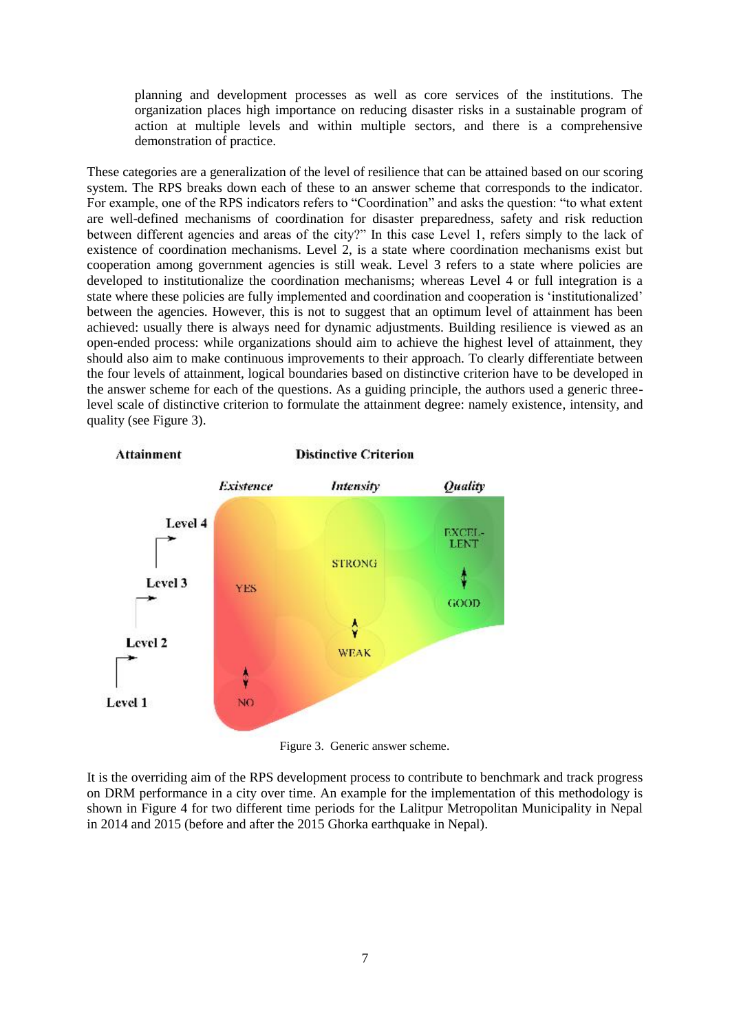planning and development processes as well as core services of the institutions. The organization places high importance on reducing disaster risks in a sustainable program of action at multiple levels and within multiple sectors, and there is a comprehensive demonstration of practice.

These categories are a generalization of the level of resilience that can be attained based on our scoring system. The RPS breaks down each of these to an answer scheme that corresponds to the indicator. For example, one of the RPS indicators refers to "Coordination" and asks the question: "to what extent are well-defined mechanisms of coordination for disaster preparedness, safety and risk reduction between different agencies and areas of the city?" In this case Level 1, refers simply to the lack of existence of coordination mechanisms. Level 2, is a state where coordination mechanisms exist but cooperation among government agencies is still weak. Level 3 refers to a state where policies are developed to institutionalize the coordination mechanisms; whereas Level 4 or full integration is a state where these policies are fully implemented and coordination and cooperation is "institutionalized" between the agencies. However, this is not to suggest that an optimum level of attainment has been achieved: usually there is always need for dynamic adjustments. Building resilience is viewed as an open-ended process: while organizations should aim to achieve the highest level of attainment, they should also aim to make continuous improvements to their approach. To clearly differentiate between the four levels of attainment, logical boundaries based on distinctive criterion have to be developed in the answer scheme for each of the questions. As a guiding principle, the authors used a generic threelevel scale of distinctive criterion to formulate the attainment degree: namely existence, intensity, and quality (see Figure 3).



Figure 3. Generic answer scheme.

It is the overriding aim of the RPS development process to contribute to benchmark and track progress on DRM performance in a city over time. An example for the implementation of this methodology is shown in Figure 4 for two different time periods for the Lalitpur Metropolitan Municipality in Nepal in 2014 and 2015 (before and after the 2015 Ghorka earthquake in Nepal).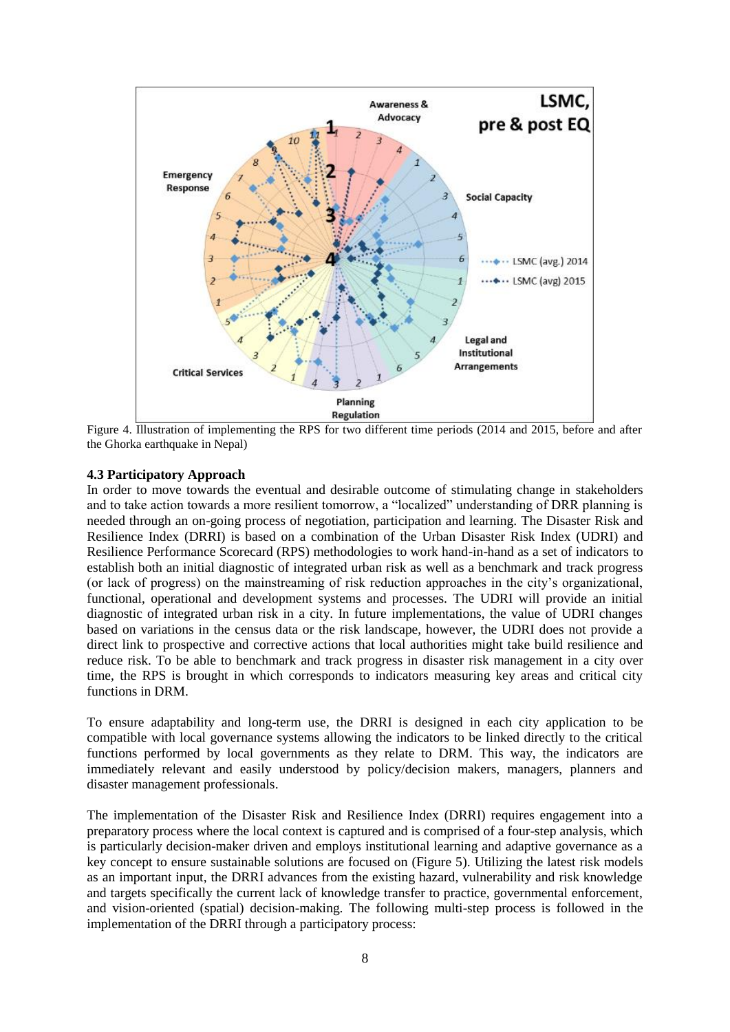

Figure 4. Illustration of implementing the RPS for two different time periods (2014 and 2015, before and after the Ghorka earthquake in Nepal)

## **4.3 Participatory Approach**

In order to move towards the eventual and desirable outcome of stimulating change in stakeholders and to take action towards a more resilient tomorrow, a "localized" understanding of DRR planning is needed through an on-going process of negotiation, participation and learning. The Disaster Risk and Resilience Index (DRRI) is based on a combination of the Urban Disaster Risk Index (UDRI) and Resilience Performance Scorecard (RPS) methodologies to work hand-in-hand as a set of indicators to establish both an initial diagnostic of integrated urban risk as well as a benchmark and track progress (or lack of progress) on the mainstreaming of risk reduction approaches in the city"s organizational, functional, operational and development systems and processes. The UDRI will provide an initial diagnostic of integrated urban risk in a city. In future implementations, the value of UDRI changes based on variations in the census data or the risk landscape, however, the UDRI does not provide a direct link to prospective and corrective actions that local authorities might take build resilience and reduce risk. To be able to benchmark and track progress in disaster risk management in a city over time, the RPS is brought in which corresponds to indicators measuring key areas and critical city functions in DRM.

To ensure adaptability and long-term use, the DRRI is designed in each city application to be compatible with local governance systems allowing the indicators to be linked directly to the critical functions performed by local governments as they relate to DRM. This way, the indicators are immediately relevant and easily understood by policy/decision makers, managers, planners and disaster management professionals.

The implementation of the Disaster Risk and Resilience Index (DRRI) requires engagement into a preparatory process where the local context is captured and is comprised of a four-step analysis, which is particularly decision-maker driven and employs institutional learning and adaptive governance as a key concept to ensure sustainable solutions are focused on (Figure 5). Utilizing the latest risk models as an important input, the DRRI advances from the existing hazard, vulnerability and risk knowledge and targets specifically the current lack of knowledge transfer to practice, governmental enforcement, and vision-oriented (spatial) decision-making. The following multi-step process is followed in the implementation of the DRRI through a participatory process: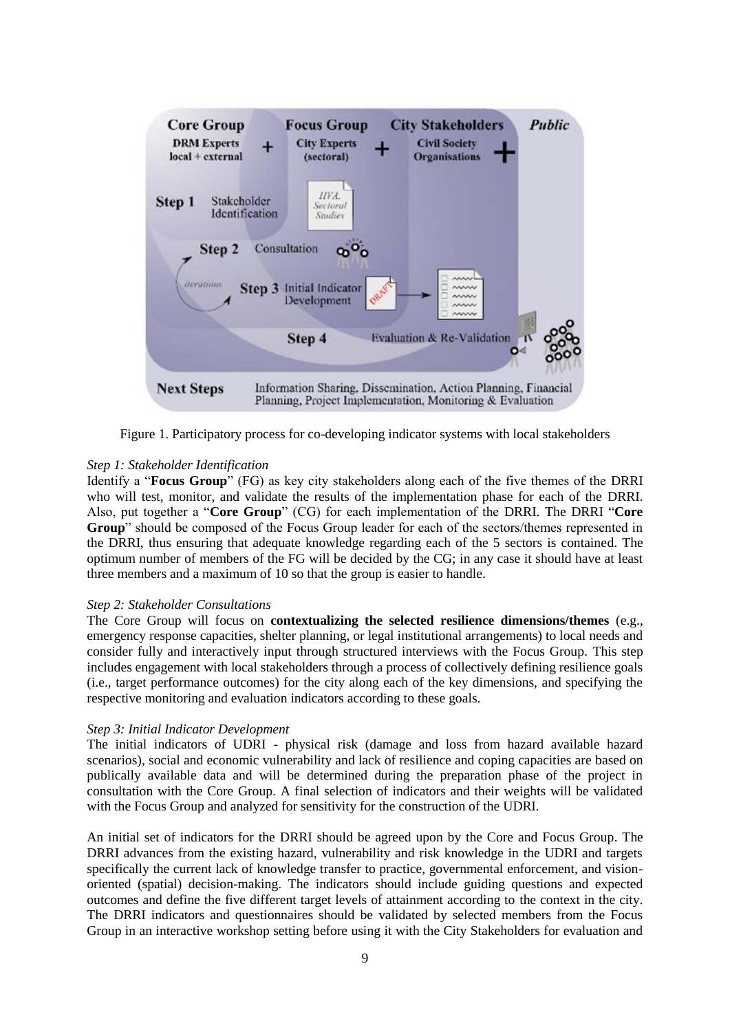

Figure 1. Participatory process for co-developing indicator systems with local stakeholders

## *Step 1: Stakeholder Identification*

Identify a "**Focus Group**" (FG) as key city stakeholders along each of the five themes of the DRRI who will test, monitor, and validate the results of the implementation phase for each of the DRRI. Also, put together a "**Core Group**" (CG) for each implementation of the DRRI. The DRRI "**Core Group**" should be composed of the Focus Group leader for each of the sectors/themes represented in the DRRI, thus ensuring that adequate knowledge regarding each of the 5 sectors is contained. The optimum number of members of the FG will be decided by the CG; in any case it should have at least three members and a maximum of 10 so that the group is easier to handle.

## *Step 2: Stakeholder Consultations*

The Core Group will focus on **contextualizing the selected resilience dimensions/themes** (e.g., emergency response capacities, shelter planning, or legal institutional arrangements) to local needs and consider fully and interactively input through structured interviews with the Focus Group. This step includes engagement with local stakeholders through a process of collectively defining resilience goals (i.e., target performance outcomes) for the city along each of the key dimensions, and specifying the respective monitoring and evaluation indicators according to these goals.

## *Step 3: Initial Indicator Development*

The initial indicators of UDRI - physical risk (damage and loss from hazard available hazard scenarios), social and economic vulnerability and lack of resilience and coping capacities are based on publically available data and will be determined during the preparation phase of the project in consultation with the Core Group. A final selection of indicators and their weights will be validated with the Focus Group and analyzed for sensitivity for the construction of the UDRI.

An initial set of indicators for the DRRI should be agreed upon by the Core and Focus Group. The DRRI advances from the existing hazard, vulnerability and risk knowledge in the UDRI and targets specifically the current lack of knowledge transfer to practice, governmental enforcement, and visionoriented (spatial) decision-making. The indicators should include guiding questions and expected outcomes and define the five different target levels of attainment according to the context in the city. The DRRI indicators and questionnaires should be validated by selected members from the Focus Group in an interactive workshop setting before using it with the City Stakeholders for evaluation and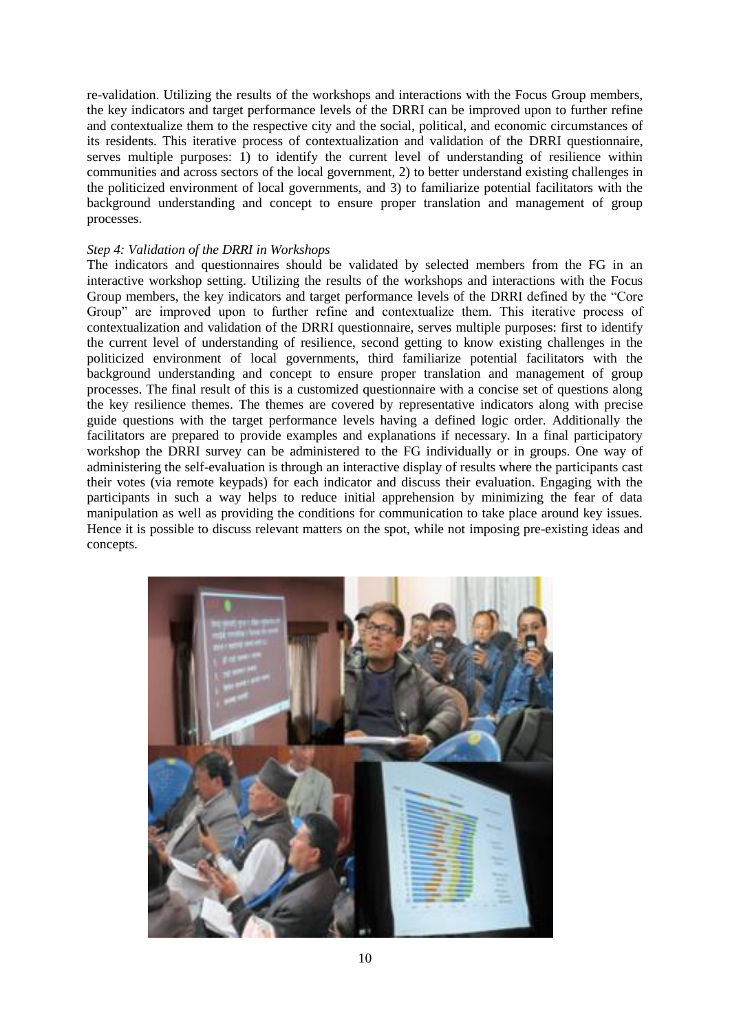re-validation. Utilizing the results of the workshops and interactions with the Focus Group members, the key indicators and target performance levels of the DRRI can be improved upon to further refine and contextualize them to the respective city and the social, political, and economic circumstances of its residents. This iterative process of contextualization and validation of the DRRI questionnaire, serves multiple purposes:  $\hat{1}$  to identify the current level of understanding of resilience within communities and across sectors of the local government, 2) to better understand existing challenges in the politicized environment of local governments, and 3) to familiarize potential facilitators with the background understanding and concept to ensure proper translation and management of group processes.

#### *Step 4: Validation of the DRRI in Workshops*

The indicators and questionnaires should be validated by selected members from the FG in an interactive workshop setting. Utilizing the results of the workshops and interactions with the Focus Group members, the key indicators and target performance levels of the DRRI defined by the "Core Group" are improved upon to further refine and contextualize them. This iterative process of contextualization and validation of the DRRI questionnaire, serves multiple purposes: first to identify the current level of understanding of resilience, second getting to know existing challenges in the politicized environment of local governments, third familiarize potential facilitators with the background understanding and concept to ensure proper translation and management of group processes. The final result of this is a customized questionnaire with a concise set of questions along the key resilience themes. The themes are covered by representative indicators along with precise guide questions with the target performance levels having a defined logic order. Additionally the facilitators are prepared to provide examples and explanations if necessary. In a final participatory workshop the DRRI survey can be administered to the FG individually or in groups. One way of administering the self-evaluation is through an interactive display of results where the participants cast their votes (via remote keypads) for each indicator and discuss their evaluation. Engaging with the participants in such a way helps to reduce initial apprehension by minimizing the fear of data manipulation as well as providing the conditions for communication to take place around key issues. Hence it is possible to discuss relevant matters on the spot, while not imposing pre-existing ideas and concepts.

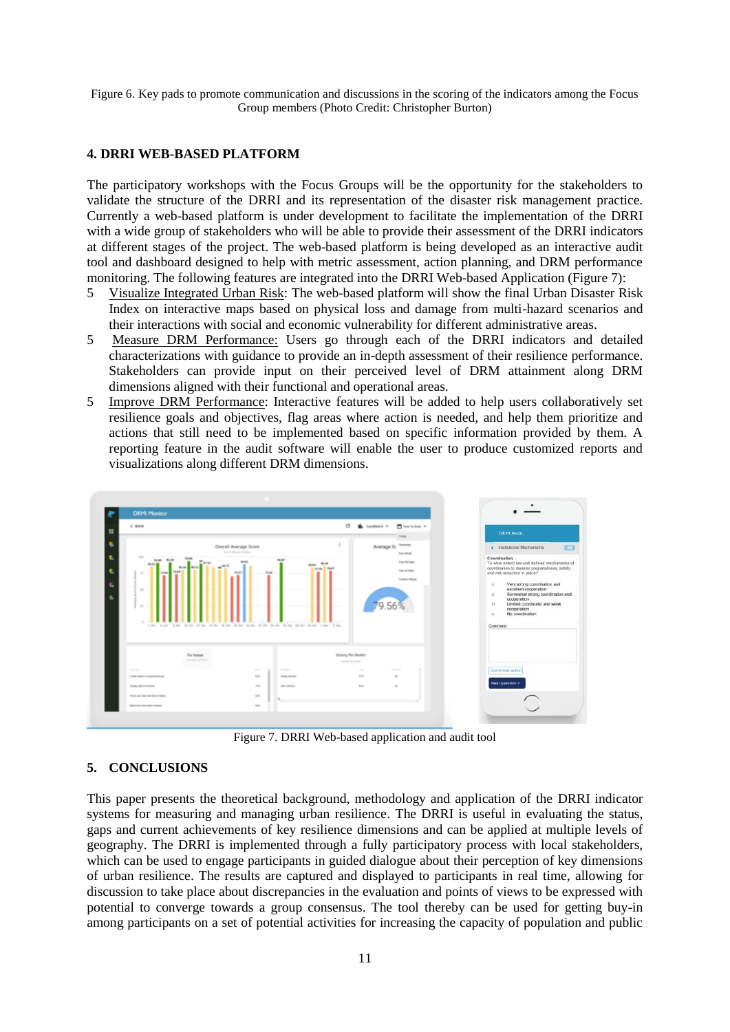Figure 6. Key pads to promote communication and discussions in the scoring of the indicators among the Focus Group members (Photo Credit: Christopher Burton)

## **4. DRRI WEB-BASED PLATFORM**

The participatory workshops with the Focus Groups will be the opportunity for the stakeholders to validate the structure of the DRRI and its representation of the disaster risk management practice. Currently a web-based platform is under development to facilitate the implementation of the DRRI with a wide group of stakeholders who will be able to provide their assessment of the DRRI indicators at different stages of the project. The web-based platform is being developed as an interactive audit tool and dashboard designed to help with metric assessment, action planning, and DRM performance monitoring. The following features are integrated into the DRRI Web-based Application (Figure 7):

- 5 Visualize Integrated Urban Risk: The web-based platform will show the final Urban Disaster Risk Index on interactive maps based on physical loss and damage from multi-hazard scenarios and their interactions with social and economic vulnerability for different administrative areas.
- 5 Measure DRM Performance: Users go through each of the DRRI indicators and detailed characterizations with guidance to provide an in-depth assessment of their resilience performance. Stakeholders can provide input on their perceived level of DRM attainment along DRM dimensions aligned with their functional and operational areas.
- 5 Improve DRM Performance: Interactive features will be added to help users collaboratively set resilience goals and objectives, flag areas where action is needed, and help them prioritize and actions that still need to be implemented based on specific information provided by them. A reporting feature in the audit software will enable the user to produce customized reports and visualizations along different DRM dimensions.



Figure 7. DRRI Web-based application and audit tool

#### **5. CONCLUSIONS**

This paper presents the theoretical background, methodology and application of the DRRI indicator systems for measuring and managing urban resilience. The DRRI is useful in evaluating the status, gaps and current achievements of key resilience dimensions and can be applied at multiple levels of geography. The DRRI is implemented through a fully participatory process with local stakeholders, which can be used to engage participants in guided dialogue about their perception of key dimensions of urban resilience. The results are captured and displayed to participants in real time, allowing for discussion to take place about discrepancies in the evaluation and points of views to be expressed with potential to converge towards a group consensus. The tool thereby can be used for getting buy-in among participants on a set of potential activities for increasing the capacity of population and public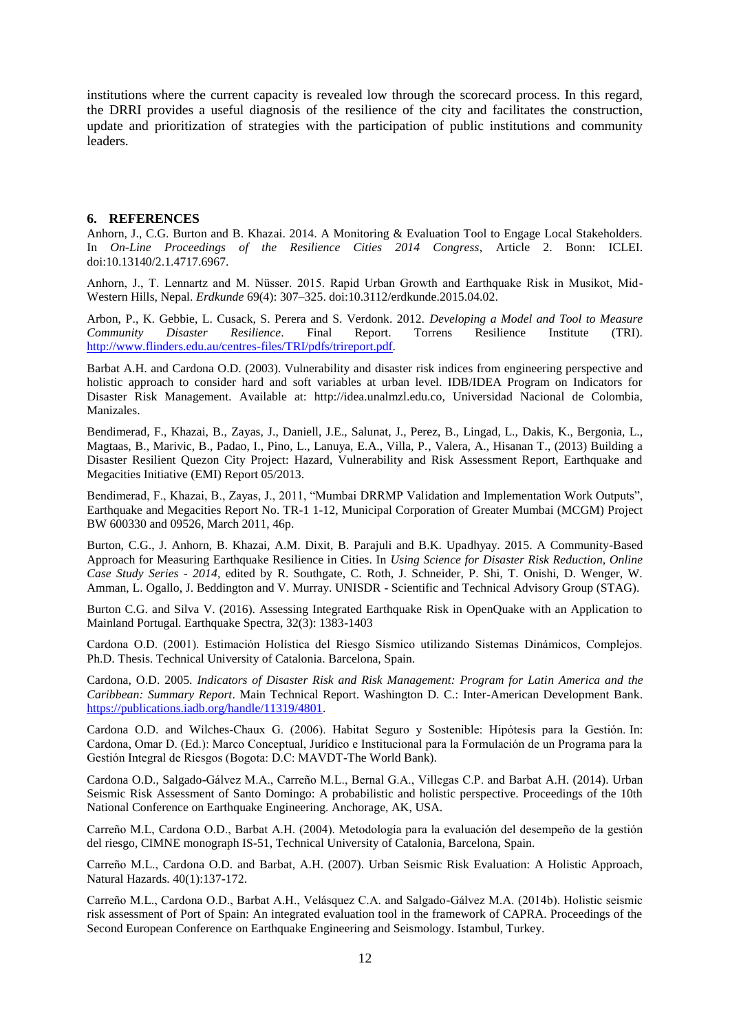institutions where the current capacity is revealed low through the scorecard process. In this regard, the DRRI provides a useful diagnosis of the resilience of the city and facilitates the construction, update and prioritization of strategies with the participation of public institutions and community leaders.

#### **6. REFERENCES**

Anhorn, J., C.G. Burton and B. Khazai. 2014. A Monitoring & Evaluation Tool to Engage Local Stakeholders. In *On-Line Proceedings of the Resilience Cities 2014 Congress*, Article 2. Bonn: ICLEI. doi:10.13140/2.1.4717.6967.

Anhorn, J., T. Lennartz and M. Nüsser. 2015. Rapid Urban Growth and Earthquake Risk in Musikot, Mid-Western Hills, Nepal. *Erdkunde* 69(4): 307–325. doi:10.3112/erdkunde.2015.04.02.

Arbon, P., K. Gebbie, L. Cusack, S. Perera and S. Verdonk. 2012. *Developing a Model and Tool to Measure Community Disaster Resilience*. Final Report. Torrens Resilience Institute (TRI). [http://www.flinders.edu.au/centres-files/TRI/pdfs/trireport.pdf.](http://www.flinders.edu.au/centres-files/TRI/pdfs/trireport.pdf)

Barbat A.H. and Cardona O.D. (2003). Vulnerability and disaster risk indices from engineering perspective and holistic approach to consider hard and soft variables at urban level. IDB/IDEA Program on Indicators for Disaster Risk Management. Available at: http://idea.unalmzl.edu.co, Universidad Nacional de Colombia, Manizales.

Bendimerad, F., Khazai, B., Zayas, J., Daniell, J.E., Salunat, J., Perez, B., Lingad, L., Dakis, K., Bergonia, L., Magtaas, B., Marivic, B., Padao, I., Pino, L., Lanuya, E.A., Villa, P., Valera, A., Hisanan T., (2013) Building a Disaster Resilient Quezon City Project: Hazard, Vulnerability and Risk Assessment Report, Earthquake and Megacities Initiative (EMI) Report 05/2013.

Bendimerad, F., Khazai, B., Zayas, J., 2011, "Mumbai DRRMP Validation and Implementation Work Outputs", Earthquake and Megacities Report No. TR-1 1-12, Municipal Corporation of Greater Mumbai (MCGM) Project BW 600330 and 09526, March 2011, 46p.

Burton, C.G., J. Anhorn, B. Khazai, A.M. Dixit, B. Parajuli and B.K. Upadhyay. 2015. A Community-Based Approach for Measuring Earthquake Resilience in Cities. In *Using Science for Disaster Risk Reduction, Online Case Study Series - 2014,* edited by R. Southgate, C. Roth, J. Schneider, P. Shi, T. Onishi, D. Wenger, W. Amman, L. Ogallo, J. Beddington and V. Murray. UNISDR - Scientific and Technical Advisory Group (STAG).

Burton C.G. and Silva V. (2016). Assessing Integrated Earthquake Risk in OpenQuake with an Application to Mainland Portugal. Earthquake Spectra, 32(3): 1383-1403

Cardona O.D. (2001). Estimación Holística del Riesgo Sísmico utilizando Sistemas Dinámicos, Complejos. Ph.D. Thesis. Technical University of Catalonia. Barcelona, Spain.

Cardona, O.D. 2005. *Indicators of Disaster Risk and Risk Management: Program for Latin America and the Caribbean: Summary Report*. Main Technical Report. Washington D. C.: Inter-American Development Bank. [https://publications.iadb.org/handle/11319/4801.](https://publications.iadb.org/handle/11319/4801)

Cardona O.D. and Wilches-Chaux G. (2006). Habitat Seguro y Sostenible: Hipótesis para la Gestión. In: Cardona, Omar D. (Ed.): Marco Conceptual, Jurídico e Institucional para la Formulación de un Programa para la Gestión Integral de Riesgos (Bogota: D.C: MAVDT-The World Bank).

Cardona O.D., Salgado-Gálvez M.A., Carreño M.L., Bernal G.A., Villegas C.P. and Barbat A.H. (2014). Urban Seismic Risk Assessment of Santo Domingo: A probabilistic and holistic perspective. Proceedings of the 10th National Conference on Earthquake Engineering. Anchorage, AK, USA.

Carreño M.L, Cardona O.D., Barbat A.H. (2004). Metodología para la evaluación del desempeño de la gestión del riesgo, CIMNE monograph IS-51, Technical University of Catalonia, Barcelona, Spain.

Carreño M.L., Cardona O.D. and Barbat, A.H. (2007). Urban Seismic Risk Evaluation: A Holistic Approach, Natural Hazards. 40(1):137-172.

Carreño M.L., Cardona O.D., Barbat A.H., Velásquez C.A. and Salgado-Gálvez M.A. (2014b). Holistic seismic risk assessment of Port of Spain: An integrated evaluation tool in the framework of CAPRA. Proceedings of the Second European Conference on Earthquake Engineering and Seismology. Istambul, Turkey.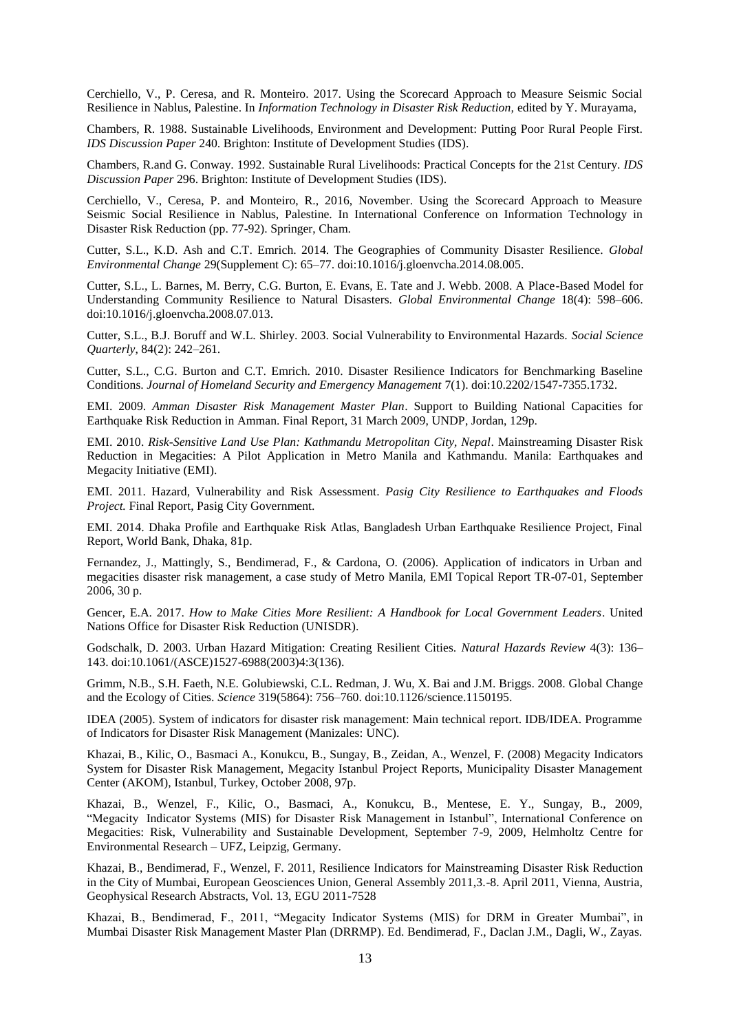Cerchiello, V., P. Ceresa, and R. Monteiro. 2017. Using the Scorecard Approach to Measure Seismic Social Resilience in Nablus, Palestine. In *Information Technology in Disaster Risk Reduction,* edited by Y. Murayama,

Chambers, R. 1988. Sustainable Livelihoods, Environment and Development: Putting Poor Rural People First. *IDS Discussion Paper* 240. Brighton: Institute of Development Studies (IDS).

Chambers, R.and G. Conway. 1992. Sustainable Rural Livelihoods: Practical Concepts for the 21st Century. *IDS Discussion Paper* 296. Brighton: Institute of Development Studies (IDS).

Cerchiello, V., Ceresa, P. and Monteiro, R., 2016, November. Using the Scorecard Approach to Measure Seismic Social Resilience in Nablus, Palestine. In International Conference on Information Technology in Disaster Risk Reduction (pp. 77-92). Springer, Cham.

Cutter, S.L., K.D. Ash and C.T. Emrich. 2014. The Geographies of Community Disaster Resilience. *Global Environmental Change* 29(Supplement C): 65–77. doi:10.1016/j.gloenvcha.2014.08.005.

Cutter, S.L., L. Barnes, M. Berry, C.G. Burton, E. Evans, E. Tate and J. Webb. 2008. A Place-Based Model for Understanding Community Resilience to Natural Disasters. *Global Environmental Change* 18(4): 598–606. doi:10.1016/j.gloenvcha.2008.07.013.

Cutter, S.L., B.J. Boruff and W.L. Shirley. 2003. Social Vulnerability to Environmental Hazards. *Social Science Quarterly*, 84(2): 242–261.

Cutter, S.L., C.G. Burton and C.T. Emrich. 2010. Disaster Resilience Indicators for Benchmarking Baseline Conditions. *Journal of Homeland Security and Emergency Management* 7(1). doi:10.2202/1547-7355.1732.

EMI. 2009. *Amman Disaster Risk Management Master Plan*. Support to Building National Capacities for Earthquake Risk Reduction in Amman. Final Report, 31 March 2009, UNDP, Jordan, 129p.

EMI. 2010. *Risk-Sensitive Land Use Plan: Kathmandu Metropolitan City, Nepal*. Mainstreaming Disaster Risk Reduction in Megacities: A Pilot Application in Metro Manila and Kathmandu. Manila: Earthquakes and Megacity Initiative (EMI).

EMI. 2011. Hazard, Vulnerability and Risk Assessment. *Pasig City Resilience to Earthquakes and Floods Project.* Final Report, Pasig City Government.

EMI. 2014. Dhaka Profile and Earthquake Risk Atlas, Bangladesh Urban Earthquake Resilience Project, Final Report, World Bank, Dhaka, 81p.

Fernandez, J., Mattingly, S., Bendimerad, F., & Cardona, O. (2006). Application of indicators in Urban and megacities disaster risk management, a case study of Metro Manila, EMI Topical Report TR-07-01, September 2006, 30 p.

Gencer, E.A. 2017. *How to Make Cities More Resilient: A Handbook for Local Government Leaders*. United Nations Office for Disaster Risk Reduction (UNISDR).

Godschalk, D. 2003. Urban Hazard Mitigation: Creating Resilient Cities. *Natural Hazards Review* 4(3): 136– 143. doi:10.1061/(ASCE)1527-6988(2003)4:3(136).

Grimm, N.B., S.H. Faeth, N.E. Golubiewski, C.L. Redman, J. Wu, X. Bai and J.M. Briggs. 2008. Global Change and the Ecology of Cities. *Science* 319(5864): 756–760. doi:10.1126/science.1150195.

IDEA (2005). System of indicators for disaster risk management: Main technical report. IDB/IDEA. Programme of Indicators for Disaster Risk Management (Manizales: UNC).

Khazai, B., Kilic, O., Basmaci A., Konukcu, B., Sungay, B., Zeidan, A., Wenzel, F. (2008) Megacity Indicators System for Disaster Risk Management, Megacity Istanbul Project Reports, Municipality Disaster Management Center (AKOM), Istanbul, Turkey, October 2008, 97p.

Khazai, B., Wenzel, F., Kilic, O., Basmaci, A., Konukcu, B., Mentese, E. Y., Sungay, B., 2009, "Megacity Indicator Systems (MIS) for Disaster Risk Management in Istanbul", International Conference on Megacities: Risk, Vulnerability and Sustainable Development, September 7-9, 2009, Helmholtz Centre for Environmental Research – UFZ, Leipzig, Germany.

Khazai, B., Bendimerad, F., Wenzel, F. 2011, Resilience Indicators for Mainstreaming Disaster Risk Reduction in the City of Mumbai, European Geosciences Union, General Assembly 2011,3.-8. April 2011, Vienna, Austria, Geophysical Research Abstracts, Vol. 13, EGU 2011-7528

Khazai, B., Bendimerad, F., 2011, "Megacity Indicator Systems (MIS) for DRM in Greater Mumbai", in Mumbai Disaster Risk Management Master Plan (DRRMP). Ed. Bendimerad, F., Daclan J.M., Dagli, W., Zayas.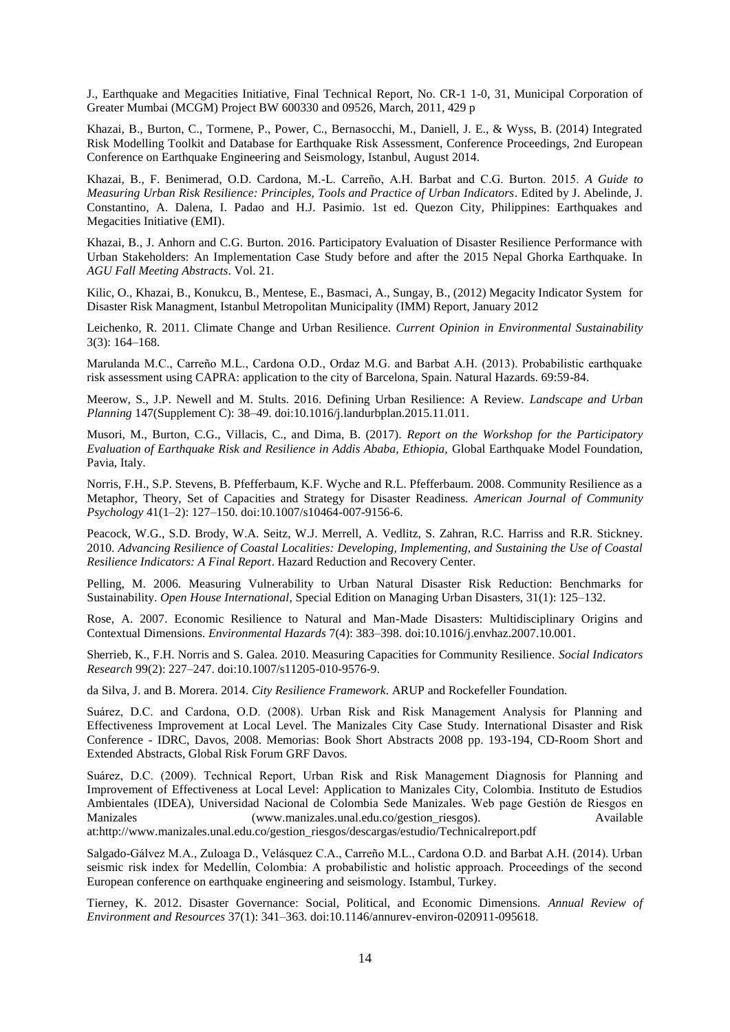J., Earthquake and Megacities Initiative, Final Technical Report, No. CR-1 1-0, 31, Municipal Corporation of Greater Mumbai (MCGM) Project BW 600330 and 09526, March, 2011, 429 p

Khazai, B., Burton, C., Tormene, P., Power, C., Bernasocchi, M., Daniell, J. E., & Wyss, B. (2014) Integrated Risk Modelling Toolkit and Database for Earthquake Risk Assessment, Conference Proceedings, 2nd European Conference on Earthquake Engineering and Seismology, Istanbul, August 2014.

Khazai, B., F. Benimerad, O.D. Cardona, M.-L. Carreño, A.H. Barbat and C.G. Burton. 2015. *A Guide to Measuring Urban Risk Resilience: Principles, Tools and Practice of Urban Indicators*. Edited by J. Abelinde, J. Constantino, A. Dalena, I. Padao and H.J. Pasimio. 1st ed. Quezon City, Philippines: Earthquakes and Megacities Initiative (EMI).

Khazai, B., J. Anhorn and C.G. Burton. 2016. Participatory Evaluation of Disaster Resilience Performance with Urban Stakeholders: An Implementation Case Study before and after the 2015 Nepal Ghorka Earthquake. In *AGU Fall Meeting Abstracts*. Vol. 21.

Kilic, O., Khazai, B., Konukcu, B., Mentese, E., Basmaci, A., Sungay, B., (2012) Megacity Indicator System for Disaster Risk Managment, Istanbul Metropolitan Municipality (IMM) Report, January 2012

Leichenko, R. 2011. Climate Change and Urban Resilience. *Current Opinion in Environmental Sustainability* 3(3): 164–168.

Marulanda M.C., Carreño M.L., Cardona O.D., Ordaz M.G. and Barbat A.H. (2013). Probabilistic earthquake risk assessment using CAPRA: application to the city of Barcelona, Spain. Natural Hazards. 69:59-84.

Meerow, S., J.P. Newell and M. Stults. 2016. Defining Urban Resilience: A Review. *Landscape and Urban Planning* 147(Supplement C): 38–49. doi:10.1016/j.landurbplan.2015.11.011.

Musori, M., Burton, C.G., Villacis, C., and Dima, B. (2017). *Report on the Workshop for the Participatory Evaluation of Earthquake Risk and Resilience in Addis Ababa, Ethiopia,* Global Earthquake Model Foundation, Pavia, Italy.

Norris, F.H., S.P. Stevens, B. Pfefferbaum, K.F. Wyche and R.L. Pfefferbaum. 2008. Community Resilience as a Metaphor, Theory, Set of Capacities and Strategy for Disaster Readiness. *American Journal of Community Psychology* 41(1–2): 127–150. doi:10.1007/s10464-007-9156-6.

Peacock, W.G., S.D. Brody, W.A. Seitz, W.J. Merrell, A. Vedlitz, S. Zahran, R.C. Harriss and R.R. Stickney. 2010. *Advancing Resilience of Coastal Localities: Developing, Implementing, and Sustaining the Use of Coastal Resilience Indicators: A Final Report*. Hazard Reduction and Recovery Center.

Pelling, M. 2006. Measuring Vulnerability to Urban Natural Disaster Risk Reduction: Benchmarks for Sustainability. *Open House International*, Special Edition on Managing Urban Disasters, 31(1): 125–132.

Rose, A. 2007. Economic Resilience to Natural and Man-Made Disasters: Multidisciplinary Origins and Contextual Dimensions. *Environmental Hazards* 7(4): 383–398. doi:10.1016/j.envhaz.2007.10.001.

Sherrieb, K., F.H. Norris and S. Galea. 2010. Measuring Capacities for Community Resilience. *Social Indicators Research* 99(2): 227–247. doi:10.1007/s11205-010-9576-9.

da Silva, J. and B. Morera. 2014. *City Resilience Framework*. ARUP and Rockefeller Foundation.

Suárez, D.C. and Cardona, O.D. (2008). Urban Risk and Risk Management Analysis for Planning and Effectiveness Improvement at Local Level. The Manizales City Case Study. International Disaster and Risk Conference - IDRC, Davos, 2008. Memorias: Book Short Abstracts 2008 pp. 193-194, CD-Room Short and Extended Abstracts, Global Risk Forum GRF Davos.

Suárez, D.C. (2009). Technical Report, Urban Risk and Risk Management Diagnosis for Planning and Improvement of Effectiveness at Local Level: Application to Manizales City, Colombia. Instituto de Estudios Ambientales (IDEA), Universidad Nacional de Colombia Sede Manizales. Web page Gestión de Riesgos en Manizales (www.manizales.unal.edu.co/gestion\_riesgos). Available at:http://www.manizales.unal.edu.co/gestion\_riesgos/descargas/estudio/Technicalreport.pdf

Salgado-Gálvez M.A., Zuloaga D., Velásquez C.A., Carreño M.L., Cardona O.D. and Barbat A.H. (2014). Urban seismic risk index for Medellín, Colombia: A probabilistic and holistic approach. Proceedings of the second European conference on earthquake engineering and seismology. Istambul, Turkey.

Tierney, K. 2012. Disaster Governance: Social, Political, and Economic Dimensions. *Annual Review of Environment and Resources* 37(1): 341–363. doi:10.1146/annurev-environ-020911-095618.